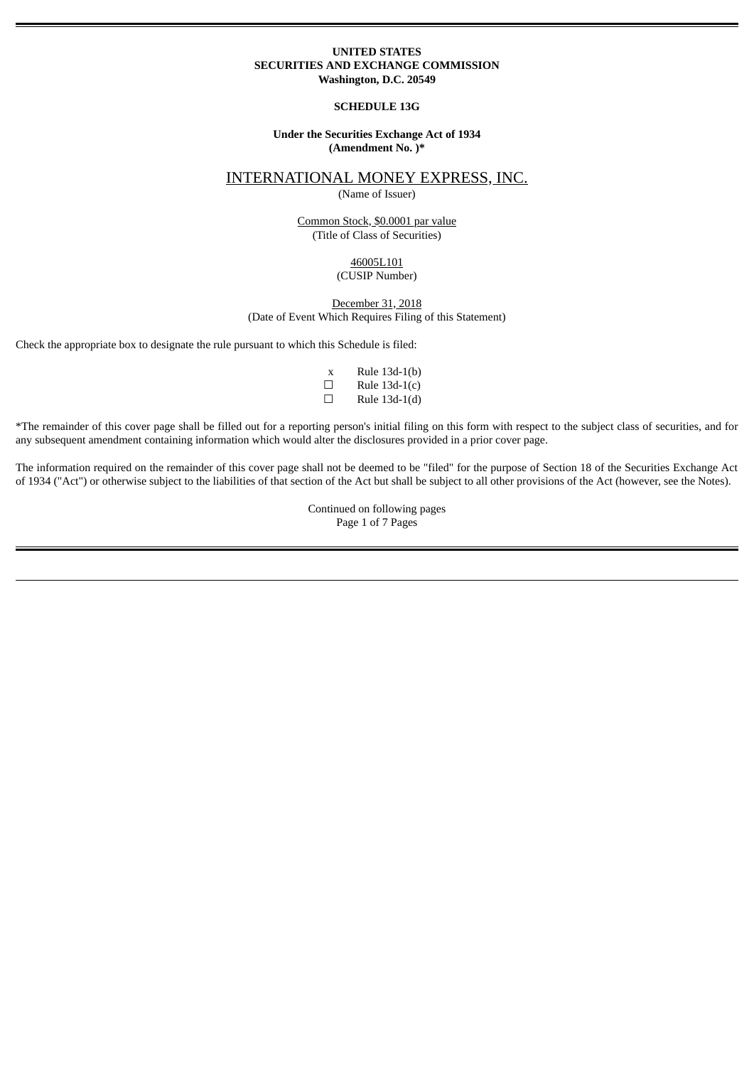#### **UNITED STATES SECURITIES AND EXCHANGE COMMISSION Washington, D.C. 20549**

#### **SCHEDULE 13G**

#### **Under the Securities Exchange Act of 1934 (Amendment No. )\***

# INTERNATIONAL MONEY EXPRESS, INC.

(Name of Issuer)

Common Stock, \$0.0001 par value (Title of Class of Securities)

# 46005L101

(CUSIP Number)

## December 31, 2018

(Date of Event Which Requires Filing of this Statement)

Check the appropriate box to designate the rule pursuant to which this Schedule is filed:

| X | Rule 13d-1(b)   |
|---|-----------------|
| H | Rule $13d-1(c)$ |
| □ | Rule 13d-1(d)   |

\*The remainder of this cover page shall be filled out for a reporting person's initial filing on this form with respect to the subject class of securities, and for any subsequent amendment containing information which would alter the disclosures provided in a prior cover page.

The information required on the remainder of this cover page shall not be deemed to be "filed" for the purpose of Section 18 of the Securities Exchange Act of 1934 ("Act") or otherwise subject to the liabilities of that section of the Act but shall be subject to all other provisions of the Act (however, see the Notes).

> Continued on following pages Page 1 of 7 Pages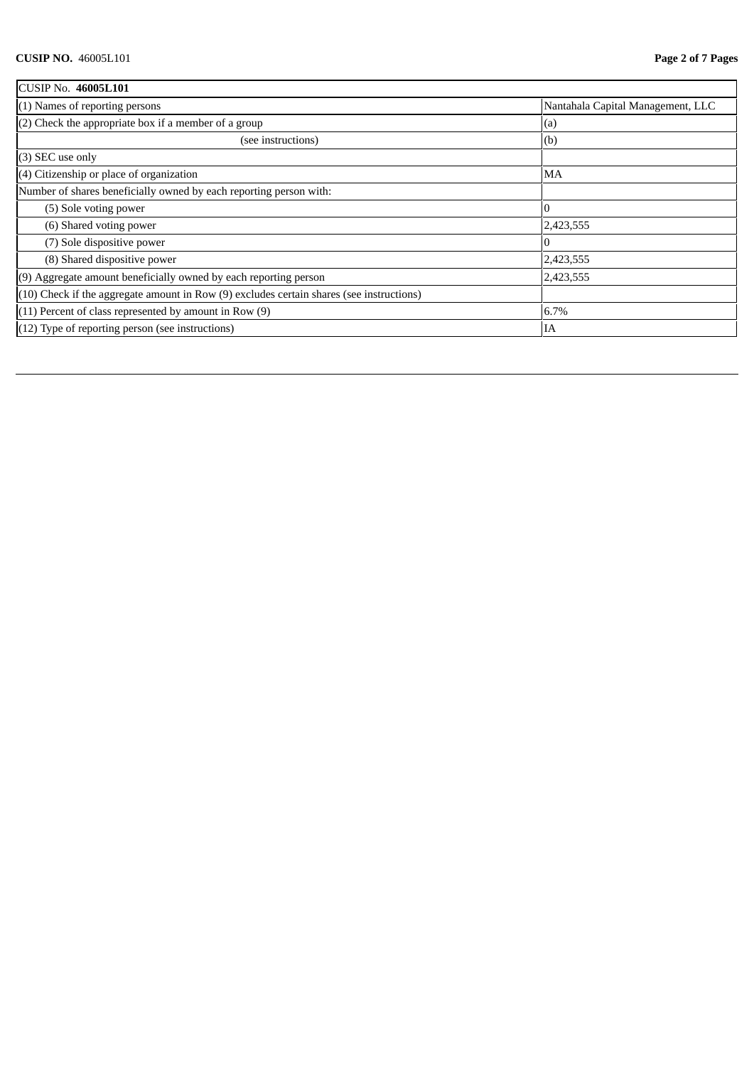| CUSIP No. 46005L101                                                                          |                                   |  |
|----------------------------------------------------------------------------------------------|-----------------------------------|--|
| $(1)$ Names of reporting persons                                                             | Nantahala Capital Management, LLC |  |
| $(2)$ Check the appropriate box if a member of a group<br>(a)                                |                                   |  |
| (see instructions)                                                                           | (b)                               |  |
| $(3)$ SEC use only                                                                           |                                   |  |
| $(4)$ Citizenship or place of organization                                                   | MA                                |  |
| Number of shares beneficially owned by each reporting person with:                           |                                   |  |
| (5) Sole voting power                                                                        |                                   |  |
| (6) Shared voting power                                                                      | 2,423,555                         |  |
| (7) Sole dispositive power                                                                   |                                   |  |
| (8) Shared dispositive power                                                                 | 2,423,555                         |  |
| (9) Aggregate amount beneficially owned by each reporting person                             | 2,423,555                         |  |
| $(10)$ Check if the aggregate amount in Row $(9)$ excludes certain shares (see instructions) |                                   |  |
| $(11)$ Percent of class represented by amount in Row $(9)$                                   | 6.7%                              |  |
| $(12)$ Type of reporting person (see instructions)                                           | IA                                |  |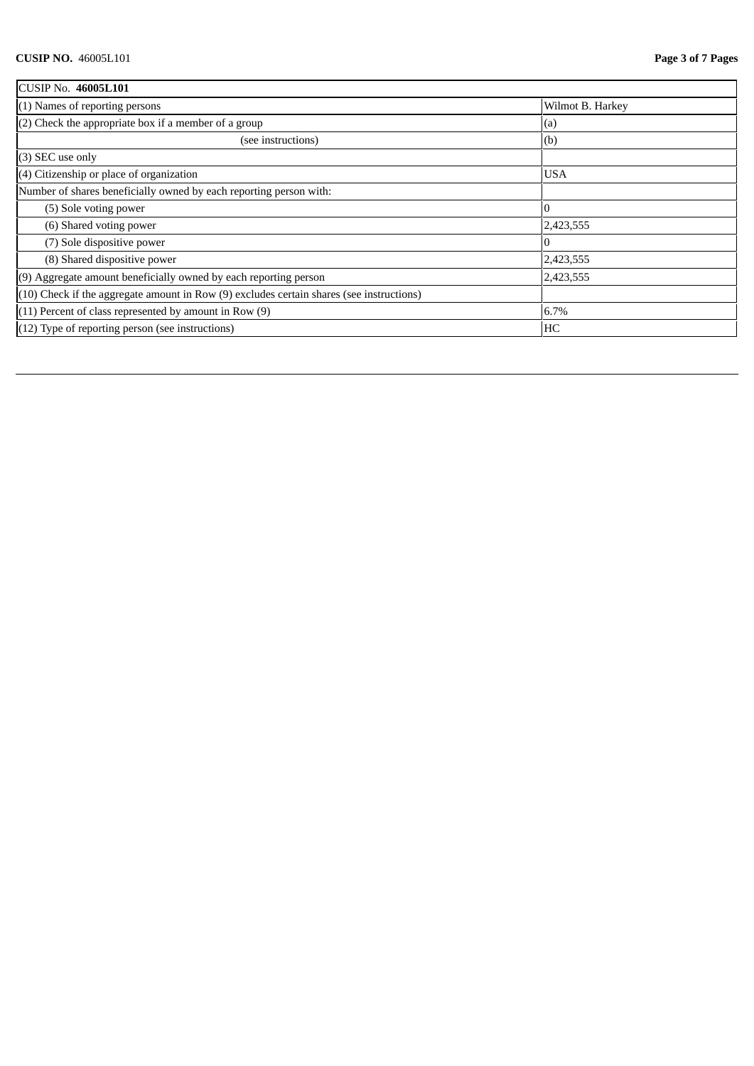| <b>CUSIP No. 46005L101</b>                                                                   |                  |
|----------------------------------------------------------------------------------------------|------------------|
| $(1)$ Names of reporting persons                                                             | Wilmot B. Harkey |
| $(2)$ Check the appropriate box if a member of a group<br>(a)                                |                  |
| (see instructions)                                                                           | (b)              |
| (3) SEC use only                                                                             |                  |
| $(4)$ Citizenship or place of organization                                                   | <b>USA</b>       |
| Number of shares beneficially owned by each reporting person with:                           |                  |
| (5) Sole voting power                                                                        |                  |
| (6) Shared voting power                                                                      | 2,423,555        |
| (7) Sole dispositive power                                                                   |                  |
| (8) Shared dispositive power                                                                 | 2,423,555        |
| $(9)$ Aggregate amount beneficially owned by each reporting person                           | 2,423,555        |
| $(10)$ Check if the aggregate amount in Row $(9)$ excludes certain shares (see instructions) |                  |
| $(11)$ Percent of class represented by amount in Row $(9)$                                   | 6.7%             |
| $(12)$ Type of reporting person (see instructions)                                           | HC               |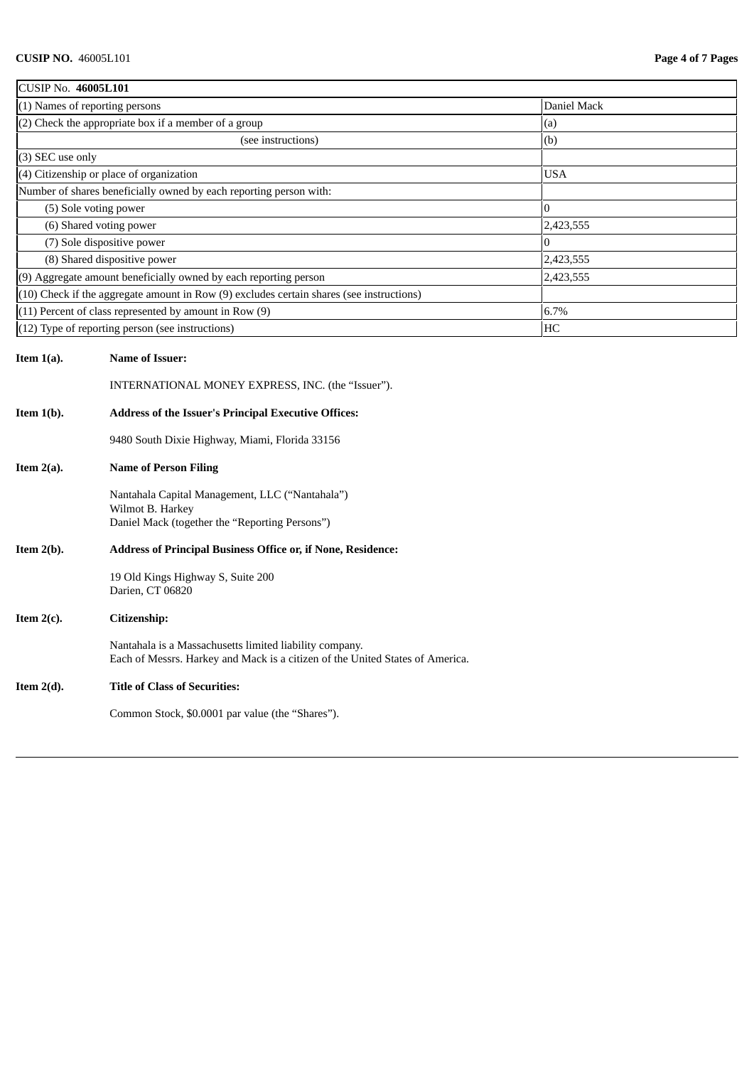| <b>CUSIP No. 46005L101</b>   |                                                                                                                                          |             |
|------------------------------|------------------------------------------------------------------------------------------------------------------------------------------|-------------|
|                              | (1) Names of reporting persons                                                                                                           | Daniel Mack |
|                              | (2) Check the appropriate box if a member of a group                                                                                     | (a)         |
|                              | (see instructions)                                                                                                                       | (b)         |
| (3) SEC use only             |                                                                                                                                          |             |
|                              | (4) Citizenship or place of organization                                                                                                 | USA         |
|                              | Number of shares beneficially owned by each reporting person with:                                                                       |             |
|                              | (5) Sole voting power                                                                                                                    | 0           |
|                              | (6) Shared voting power                                                                                                                  | 2,423,555   |
| (7) Sole dispositive power   |                                                                                                                                          | 0           |
| (8) Shared dispositive power |                                                                                                                                          | 2,423,555   |
|                              | (9) Aggregate amount beneficially owned by each reporting person                                                                         | 2,423,555   |
|                              | (10) Check if the aggregate amount in Row (9) excludes certain shares (see instructions)                                                 |             |
|                              | (11) Percent of class represented by amount in Row (9)                                                                                   | 6.7%        |
|                              | (12) Type of reporting person (see instructions)                                                                                         | HC          |
| Item $1(a)$ .                | <b>Name of Issuer:</b><br>INTERNATIONAL MONEY EXPRESS, INC. (the "Issuer").                                                              |             |
| Item $1(b)$ .                | <b>Address of the Issuer's Principal Executive Offices:</b>                                                                              |             |
|                              | 9480 South Dixie Highway, Miami, Florida 33156                                                                                           |             |
| Item $2(a)$ .                | <b>Name of Person Filing</b>                                                                                                             |             |
|                              | Nantahala Capital Management, LLC ("Nantahala")<br>Wilmot B. Harkey<br>Daniel Mack (together the "Reporting Persons")                    |             |
| Item $2(b)$ .                | Address of Principal Business Office or, if None, Residence:                                                                             |             |
|                              | 19 Old Kings Highway S, Suite 200<br>Darien, CT 06820                                                                                    |             |
| Item $2(c)$ .                | Citizenship:                                                                                                                             |             |
|                              | Nantahala is a Massachusetts limited liability company.<br>Each of Messrs. Harkey and Mack is a citizen of the United States of America. |             |
| Item $2(d)$ .                | <b>Title of Class of Securities:</b>                                                                                                     |             |
|                              | Common Stock, \$0.0001 par value (the "Shares").                                                                                         |             |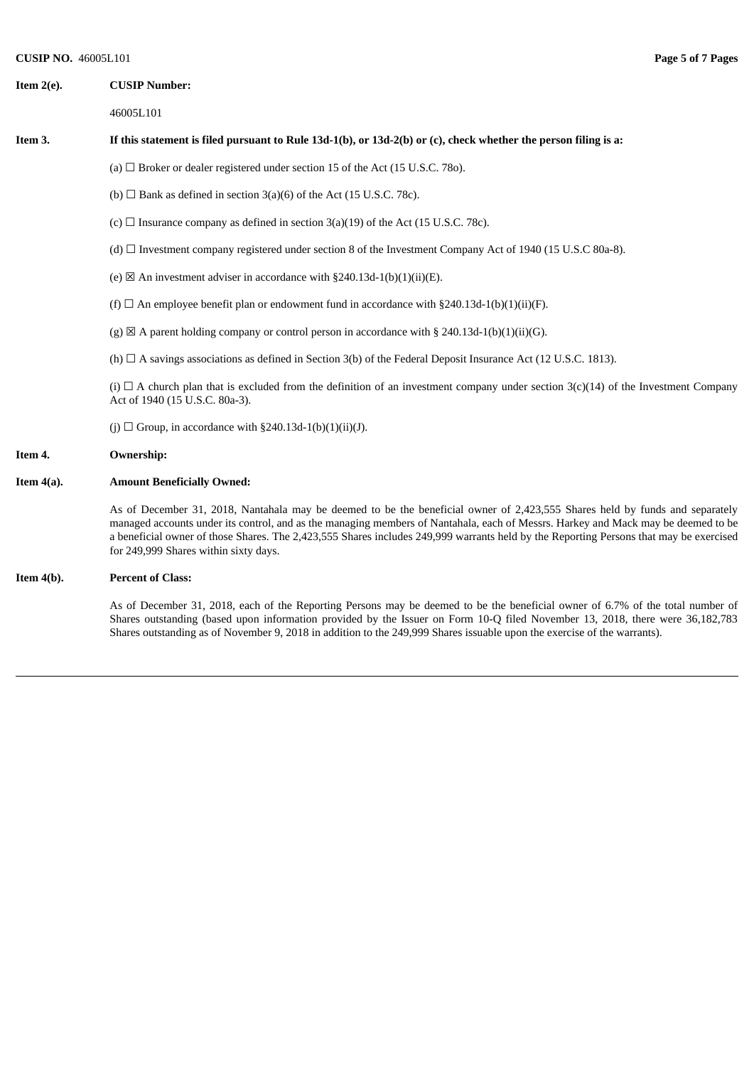### **Item 2(e). CUSIP Number:**

46005L101

#### It this statement is filed pursuant to Rule 13d-1(b), or 13d-2(b) or (c), check whether the person filing is a:

(a)  $\Box$  Broker or dealer registered under section 15 of the Act (15 U.S.C. 78o).

- (b)  $\Box$  Bank as defined in section 3(a)(6) of the Act (15 U.S.C. 78c).
- (c)  $\Box$  Insurance company as defined in section 3(a)(19) of the Act (15 U.S.C. 78c).
- (d) ☐ Investment company registered under section 8 of the Investment Company Act of 1940 (15 U.S.C 80a-8).
- (e)  $\boxtimes$  An investment adviser in accordance with §240.13d-1(b)(1)(ii)(E).
- (f)  $\Box$  An employee benefit plan or endowment fund in accordance with §240.13d-1(b)(1)(ii)(F).
- (g)  $\boxtimes$  A parent holding company or control person in accordance with § 240.13d-1(b)(1)(ii)(G).
- (h) □ A savings associations as defined in Section 3(b) of the Federal Deposit Insurance Act (12 U.S.C. 1813).

(i)  $\Box$  A church plan that is excluded from the definition of an investment company under section 3(c)(14) of the Investment Company Act of 1940 (15 U.S.C. 80a-3).

(j)  $\Box$  Group, in accordance with §240.13d-1(b)(1)(ii)(J).

#### **Item 4. Ownership:**

#### **Item 4(a). Amount Beneficially Owned:**

As of December 31, 2018, Nantahala may be deemed to be the beneficial owner of 2,423,555 Shares held by funds and separately managed accounts under its control, and as the managing members of Nantahala, each of Messrs. Harkey and Mack may be deemed to be a beneficial owner of those Shares. The 2,423,555 Shares includes 249,999 warrants held by the Reporting Persons that may be exercised for 249,999 Shares within sixty days.

#### **Item 4(b). Percent of Class:**

As of December 31, 2018, each of the Reporting Persons may be deemed to be the beneficial owner of 6.7% of the total number of Shares outstanding (based upon information provided by the Issuer on Form 10-Q filed November 13, 2018, there were 36,182,783 Shares outstanding as of November 9, 2018 in addition to the 249,999 Shares issuable upon the exercise of the warrants).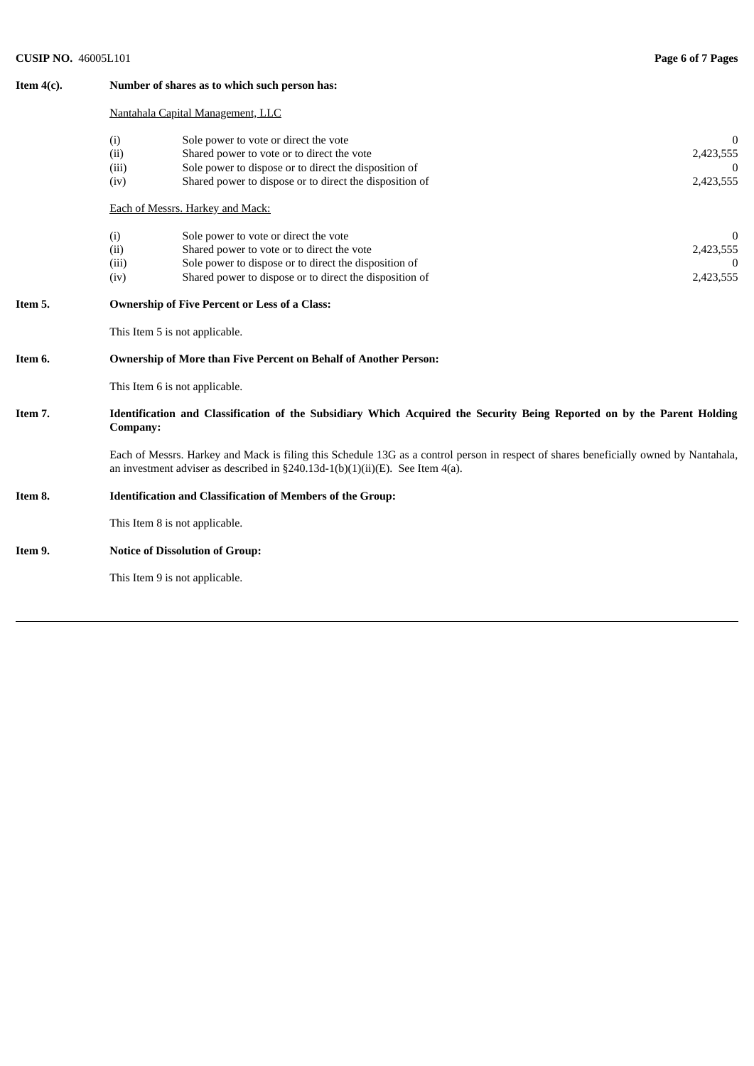# **CUSIP NO.** 46005L101 **Page 6 of 7 Pages**

| Item $4(c)$ . | Number of shares as to which such person has:<br>Nantahala Capital Management, LLC                                                                                                                                          |                                                                                                                                                                                                         |                                    |  |  |  |
|---------------|-----------------------------------------------------------------------------------------------------------------------------------------------------------------------------------------------------------------------------|---------------------------------------------------------------------------------------------------------------------------------------------------------------------------------------------------------|------------------------------------|--|--|--|
|               |                                                                                                                                                                                                                             |                                                                                                                                                                                                         |                                    |  |  |  |
|               | (i)<br>(ii)<br>(iii)<br>(iv)                                                                                                                                                                                                | Sole power to vote or direct the vote<br>Shared power to vote or to direct the vote<br>Sole power to dispose or to direct the disposition of<br>Shared power to dispose or to direct the disposition of | $\Omega$<br>2,423,555<br>2,423,555 |  |  |  |
|               | Each of Messrs. Harkey and Mack:                                                                                                                                                                                            |                                                                                                                                                                                                         |                                    |  |  |  |
|               | (i)<br>(ii)<br>(iii)<br>(iv)                                                                                                                                                                                                | Sole power to vote or direct the vote<br>Shared power to vote or to direct the vote<br>Sole power to dispose or to direct the disposition of<br>Shared power to dispose or to direct the disposition of | 2,423,555<br>2,423,555             |  |  |  |
| Item 5.       | <b>Ownership of Five Percent or Less of a Class:</b><br>This Item 5 is not applicable.                                                                                                                                      |                                                                                                                                                                                                         |                                    |  |  |  |
|               |                                                                                                                                                                                                                             |                                                                                                                                                                                                         |                                    |  |  |  |
| Item 6.       | Ownership of More than Five Percent on Behalf of Another Person:                                                                                                                                                            |                                                                                                                                                                                                         |                                    |  |  |  |
|               |                                                                                                                                                                                                                             | This Item 6 is not applicable.                                                                                                                                                                          |                                    |  |  |  |
| Item 7.       | Identification and Classification of the Subsidiary Which Acquired the Security Being Reported on by the Parent Holding<br>Company:                                                                                         |                                                                                                                                                                                                         |                                    |  |  |  |
|               | Each of Messrs. Harkey and Mack is filing this Schedule 13G as a control person in respect of shares beneficially owned by Nantahala,<br>an investment adviser as described in $\S 240.13d-1(b)(1)(ii)(E)$ . See Item 4(a). |                                                                                                                                                                                                         |                                    |  |  |  |
| Item 8.       | <b>Identification and Classification of Members of the Group:</b>                                                                                                                                                           |                                                                                                                                                                                                         |                                    |  |  |  |
|               |                                                                                                                                                                                                                             | This Item 8 is not applicable.                                                                                                                                                                          |                                    |  |  |  |
| Item 9.       | <b>Notice of Dissolution of Group:</b>                                                                                                                                                                                      |                                                                                                                                                                                                         |                                    |  |  |  |
|               |                                                                                                                                                                                                                             | This Item 9 is not applicable.                                                                                                                                                                          |                                    |  |  |  |